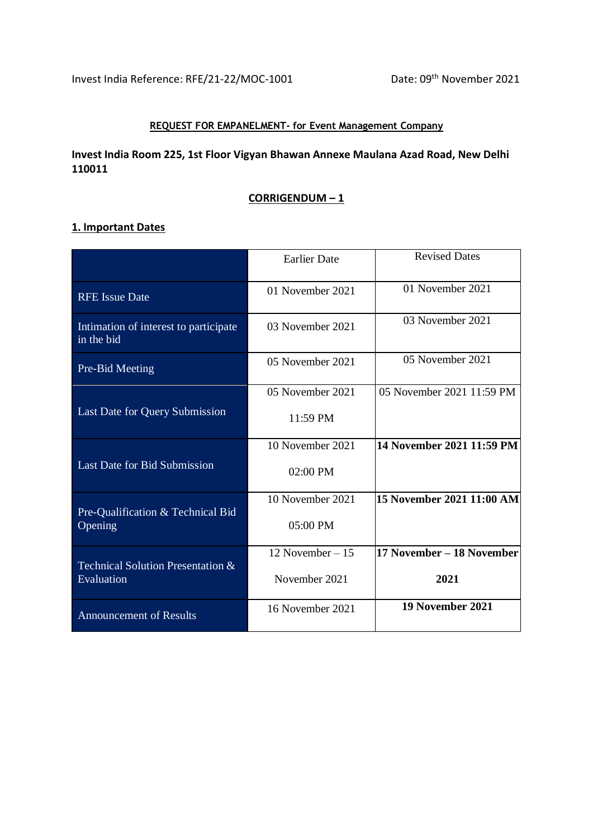#### **REQUEST FOR EMPANELMENT- for Event Management Company**

### **Invest India Room 225, 1st Floor Vigyan Bhawan Annexe Maulana Azad Road, New Delhi 110011**

#### **CORRIGENDUM – 1**

### **1. Important Dates**

|                                                     | <b>Earlier Date</b> | <b>Revised Dates</b>      |
|-----------------------------------------------------|---------------------|---------------------------|
| <b>RFE</b> Issue Date                               | 01 November 2021    | 01 November 2021          |
| Intimation of interest to participate<br>in the bid | 03 November 2021    | 03 November 2021          |
| Pre-Bid Meeting                                     | 05 November 2021    | 05 November 2021          |
|                                                     | 05 November 2021    | 05 November 2021 11:59 PM |
| Last Date for Query Submission                      | 11:59 PM            |                           |
|                                                     | 10 November 2021    | 14 November 2021 11:59 PM |
| <b>Last Date for Bid Submission</b>                 | 02:00 PM            |                           |
|                                                     | 10 November 2021    | 15 November 2021 11:00 AM |
| Pre-Qualification & Technical Bid<br>Opening        | 05:00 PM            |                           |
|                                                     | 12 November $-15$   | 17 November – 18 November |
| Technical Solution Presentation &<br>Evaluation     | November 2021       | 2021                      |
| <b>Announcement of Results</b>                      | 16 November 2021    | 19 November 2021          |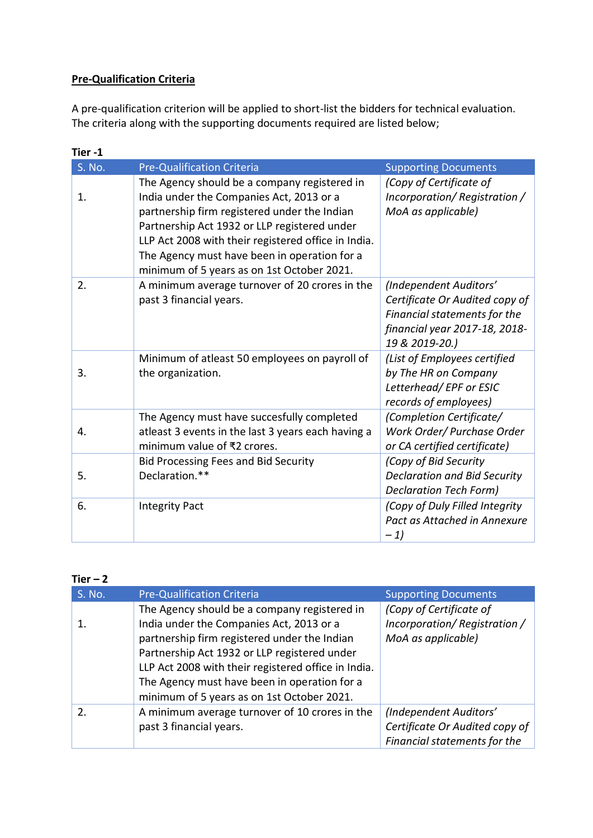# **Pre-Qualification Criteria**

A pre-qualification criterion will be applied to short-list the bidders for technical evaluation. The criteria along with the supporting documents required are listed below;

| Tier-1 |                                                                                                                                                                                                                                                                                                                                               |                                                                                                                                             |
|--------|-----------------------------------------------------------------------------------------------------------------------------------------------------------------------------------------------------------------------------------------------------------------------------------------------------------------------------------------------|---------------------------------------------------------------------------------------------------------------------------------------------|
| S. No. | <b>Pre-Qualification Criteria</b>                                                                                                                                                                                                                                                                                                             | <b>Supporting Documents</b>                                                                                                                 |
| 1.     | The Agency should be a company registered in<br>India under the Companies Act, 2013 or a<br>partnership firm registered under the Indian<br>Partnership Act 1932 or LLP registered under<br>LLP Act 2008 with their registered office in India.<br>The Agency must have been in operation for a<br>minimum of 5 years as on 1st October 2021. | (Copy of Certificate of<br>Incorporation/Registration/<br>MoA as applicable)                                                                |
| 2.     | A minimum average turnover of 20 crores in the<br>past 3 financial years.                                                                                                                                                                                                                                                                     | (Independent Auditors'<br>Certificate Or Audited copy of<br>Financial statements for the<br>financial year 2017-18, 2018-<br>19 & 2019-20.) |
| 3.     | Minimum of atleast 50 employees on payroll of<br>the organization.                                                                                                                                                                                                                                                                            | (List of Employees certified<br>by The HR on Company<br>Letterhead/EPF or ESIC<br>records of employees)                                     |
| 4.     | The Agency must have succesfully completed<br>atleast 3 events in the last 3 years each having a<br>minimum value of ₹2 crores.                                                                                                                                                                                                               | (Completion Certificate/<br>Work Order/ Purchase Order<br>or CA certified certificate)                                                      |
| 5.     | <b>Bid Processing Fees and Bid Security</b><br>Declaration.**                                                                                                                                                                                                                                                                                 | (Copy of Bid Security<br><b>Declaration and Bid Security</b><br>Declaration Tech Form)                                                      |
| 6.     | <b>Integrity Pact</b>                                                                                                                                                                                                                                                                                                                         | (Copy of Duly Filled Integrity<br>Pact as Attached in Annexure<br>$-1)$                                                                     |

| S. No. | <b>Pre-Qualification Criteria</b>                                                                                                                                                                                                                                                                                                             | <b>Supporting Documents</b>                                                              |
|--------|-----------------------------------------------------------------------------------------------------------------------------------------------------------------------------------------------------------------------------------------------------------------------------------------------------------------------------------------------|------------------------------------------------------------------------------------------|
|        | The Agency should be a company registered in<br>India under the Companies Act, 2013 or a<br>partnership firm registered under the Indian<br>Partnership Act 1932 or LLP registered under<br>LLP Act 2008 with their registered office in India.<br>The Agency must have been in operation for a<br>minimum of 5 years as on 1st October 2021. | (Copy of Certificate of<br>Incorporation/Registration/<br>MoA as applicable)             |
| 2.     | A minimum average turnover of 10 crores in the<br>past 3 financial years.                                                                                                                                                                                                                                                                     | (Independent Auditors'<br>Certificate Or Audited copy of<br>Financial statements for the |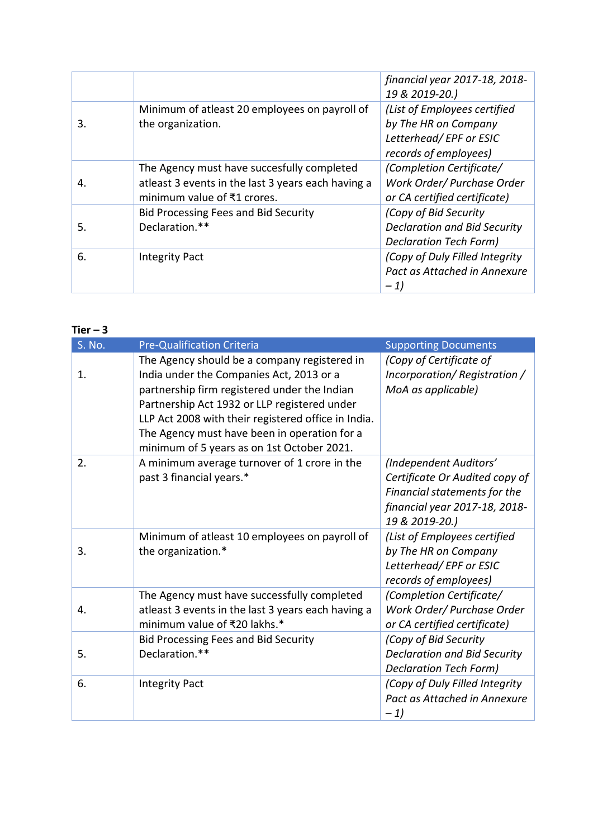|    |                                                                                                                                 | financial year 2017-18, 2018-<br>19 & 2019-20.)                                                         |
|----|---------------------------------------------------------------------------------------------------------------------------------|---------------------------------------------------------------------------------------------------------|
| 3. | Minimum of atleast 20 employees on payroll of<br>the organization.                                                              | (List of Employees certified<br>by The HR on Company<br>Letterhead/EPF or ESIC<br>records of employees) |
| 4. | The Agency must have succesfully completed<br>atleast 3 events in the last 3 years each having a<br>minimum value of ₹1 crores. | (Completion Certificate/<br>Work Order/ Purchase Order<br>or CA certified certificate)                  |
| 5. | <b>Bid Processing Fees and Bid Security</b><br>Declaration.**                                                                   | (Copy of Bid Security<br><b>Declaration and Bid Security</b><br>Declaration Tech Form)                  |
| 6. | <b>Integrity Pact</b>                                                                                                           | (Copy of Duly Filled Integrity<br>Pact as Attached in Annexure<br>$-1)$                                 |

| S. No. | <b>Pre-Qualification Criteria</b>                                                                                                                                                                                                                                                                                                             | <b>Supporting Documents</b>                                                                                                                 |
|--------|-----------------------------------------------------------------------------------------------------------------------------------------------------------------------------------------------------------------------------------------------------------------------------------------------------------------------------------------------|---------------------------------------------------------------------------------------------------------------------------------------------|
| 1.     | The Agency should be a company registered in<br>India under the Companies Act, 2013 or a<br>partnership firm registered under the Indian<br>Partnership Act 1932 or LLP registered under<br>LLP Act 2008 with their registered office in India.<br>The Agency must have been in operation for a<br>minimum of 5 years as on 1st October 2021. | (Copy of Certificate of<br>Incorporation/Registration/<br>MoA as applicable)                                                                |
| 2.     | A minimum average turnover of 1 crore in the<br>past 3 financial years.*                                                                                                                                                                                                                                                                      | (Independent Auditors'<br>Certificate Or Audited copy of<br>Financial statements for the<br>financial year 2017-18, 2018-<br>19 & 2019-20.) |
| 3.     | Minimum of atleast 10 employees on payroll of<br>the organization.*                                                                                                                                                                                                                                                                           | (List of Employees certified<br>by The HR on Company<br>Letterhead/EPF or ESIC<br>records of employees)                                     |
| 4.     | The Agency must have successfully completed<br>atleast 3 events in the last 3 years each having a<br>minimum value of ₹20 lakhs.*                                                                                                                                                                                                             | (Completion Certificate/<br>Work Order/ Purchase Order<br>or CA certified certificate)                                                      |
| 5.     | <b>Bid Processing Fees and Bid Security</b><br>Declaration.**                                                                                                                                                                                                                                                                                 | (Copy of Bid Security<br><b>Declaration and Bid Security</b><br><b>Declaration Tech Form)</b>                                               |
| 6.     | <b>Integrity Pact</b>                                                                                                                                                                                                                                                                                                                         | (Copy of Duly Filled Integrity<br>Pact as Attached in Annexure<br>$-1)$                                                                     |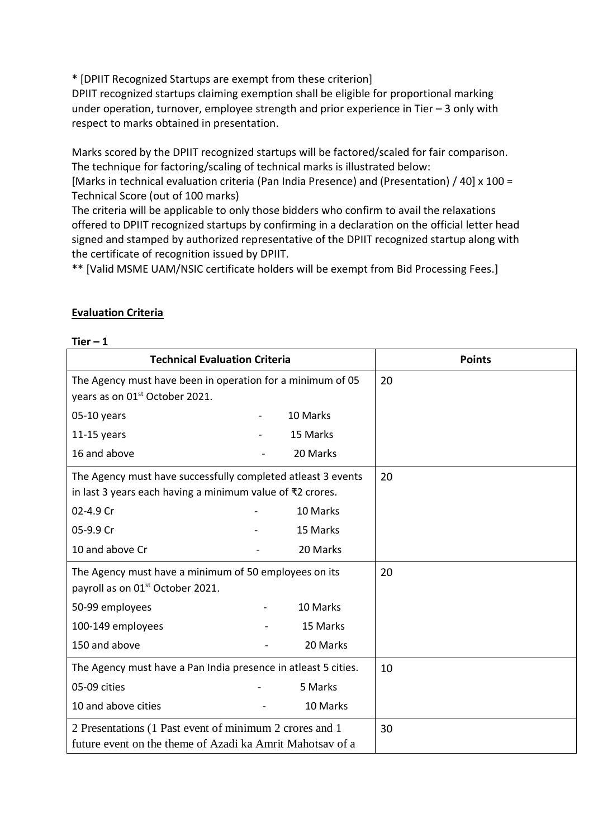\* [DPIIT Recognized Startups are exempt from these criterion]

DPIIT recognized startups claiming exemption shall be eligible for proportional marking under operation, turnover, employee strength and prior experience in Tier – 3 only with respect to marks obtained in presentation.

Marks scored by the DPIIT recognized startups will be factored/scaled for fair comparison. The technique for factoring/scaling of technical marks is illustrated below:

[Marks in technical evaluation criteria (Pan India Presence) and (Presentation) / 40] x 100 = Technical Score (out of 100 marks)

The criteria will be applicable to only those bidders who confirm to avail the relaxations offered to DPIIT recognized startups by confirming in a declaration on the official letter head signed and stamped by authorized representative of the DPIIT recognized startup along with the certificate of recognition issued by DPIIT.

\*\* [Valid MSME UAM/NSIC certificate holders will be exempt from Bid Processing Fees.]

| ⊥ier – T                                                                                                                  |          |               |
|---------------------------------------------------------------------------------------------------------------------------|----------|---------------|
| <b>Technical Evaluation Criteria</b>                                                                                      |          | <b>Points</b> |
| The Agency must have been in operation for a minimum of 05<br>years as on 01 <sup>st</sup> October 2021.                  |          | 20            |
| 05-10 years                                                                                                               | 10 Marks |               |
| $11-15$ years                                                                                                             | 15 Marks |               |
| 16 and above                                                                                                              | 20 Marks |               |
| The Agency must have successfully completed atleast 3 events<br>in last 3 years each having a minimum value of ₹2 crores. |          | 20            |
| 02-4.9 Cr                                                                                                                 | 10 Marks |               |
| 05-9.9 Cr                                                                                                                 | 15 Marks |               |
| 10 and above Cr                                                                                                           | 20 Marks |               |
| The Agency must have a minimum of 50 employees on its<br>payroll as on 01 <sup>st</sup> October 2021.                     |          | 20            |
| 50-99 employees                                                                                                           | 10 Marks |               |
| 100-149 employees                                                                                                         | 15 Marks |               |
| 150 and above                                                                                                             | 20 Marks |               |
| The Agency must have a Pan India presence in atleast 5 cities.                                                            |          | 10            |
| 05-09 cities                                                                                                              | 5 Marks  |               |
| 10 and above cities                                                                                                       | 10 Marks |               |
| 2 Presentations (1 Past event of minimum 2 crores and 1                                                                   |          | 30            |
| future event on the theme of Azadi ka Amrit Mahotsay of a                                                                 |          |               |

# **Evaluation Criteria**

**Tier – 1**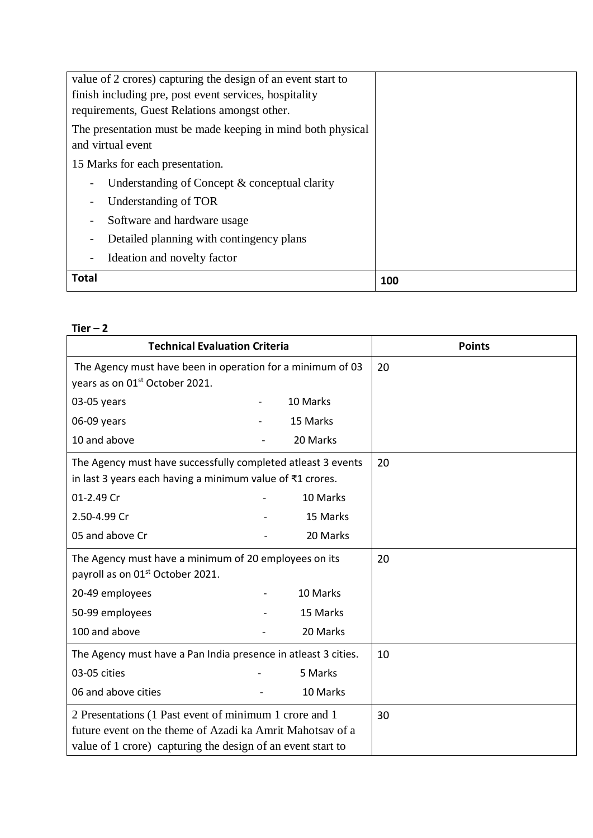| value of 2 crores) capturing the design of an event start to         |     |
|----------------------------------------------------------------------|-----|
| finish including pre, post event services, hospitality               |     |
| requirements, Guest Relations amongst other.                         |     |
| The presentation must be made keeping in mind both physical          |     |
| and virtual event                                                    |     |
| 15 Marks for each presentation.                                      |     |
| Understanding of Concept & conceptual clarity                        |     |
| Understanding of TOR<br>$\overline{a}$                               |     |
| Software and hardware usage<br>$\overline{a}$                        |     |
| Detailed planning with contingency plans<br>$\overline{\phantom{0}}$ |     |
| Ideation and novelty factor<br>$\overline{\phantom{0}}$              |     |
| Total                                                                | 100 |

| <b>Technical Evaluation Criteria</b>                           |  | <b>Points</b> |    |
|----------------------------------------------------------------|--|---------------|----|
| The Agency must have been in operation for a minimum of 03     |  | 20            |    |
| years as on 01 <sup>st</sup> October 2021.                     |  |               |    |
| 03-05 years                                                    |  | 10 Marks      |    |
| 06-09 years                                                    |  | 15 Marks      |    |
| 10 and above                                                   |  | 20 Marks      |    |
| The Agency must have successfully completed atleast 3 events   |  |               | 20 |
| in last 3 years each having a minimum value of ₹1 crores.      |  |               |    |
| 01-2.49 Cr                                                     |  | 10 Marks      |    |
| 2.50-4.99 Cr                                                   |  | 15 Marks      |    |
| 05 and above Cr                                                |  | 20 Marks      |    |
| The Agency must have a minimum of 20 employees on its          |  | 20            |    |
| payroll as on 01 <sup>st</sup> October 2021.                   |  |               |    |
| 20-49 employees                                                |  | 10 Marks      |    |
| 50-99 employees                                                |  | 15 Marks      |    |
| 100 and above                                                  |  | 20 Marks      |    |
| The Agency must have a Pan India presence in atleast 3 cities. |  | 10            |    |
| 03-05 cities                                                   |  | 5 Marks       |    |
| 06 and above cities                                            |  | 10 Marks      |    |
| 2 Presentations (1 Past event of minimum 1 crore and 1         |  | 30            |    |
| future event on the theme of Azadi ka Amrit Mahotsay of a      |  |               |    |
| value of 1 crore) capturing the design of an event start to    |  |               |    |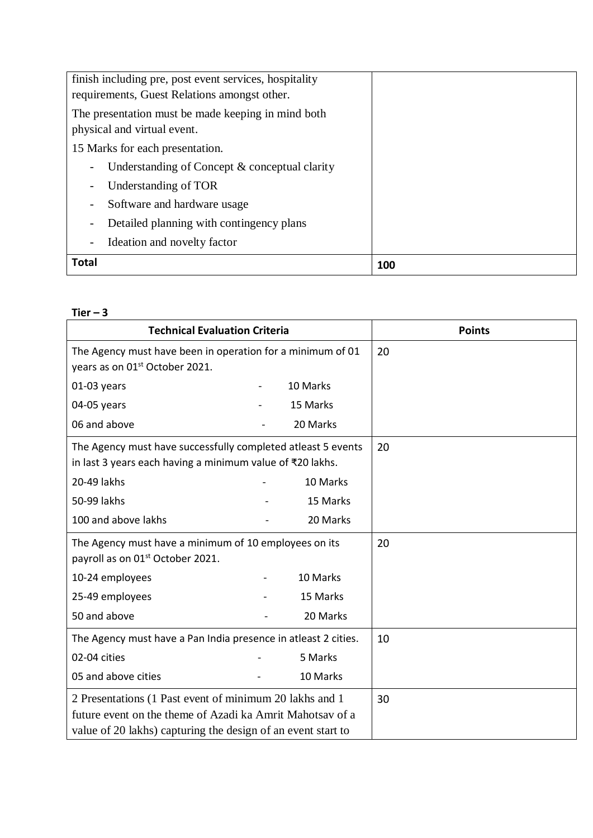| finish including pre, post event services, hospitality<br>requirements, Guest Relations amongst other. |     |
|--------------------------------------------------------------------------------------------------------|-----|
| The presentation must be made keeping in mind both<br>physical and virtual event.                      |     |
| 15 Marks for each presentation.                                                                        |     |
| Understanding of Concept & conceptual clarity<br>$\overline{\phantom{a}}$                              |     |
| Understanding of TOR                                                                                   |     |
| Software and hardware usage<br>$\overline{\phantom{a}}$                                                |     |
| Detailed planning with contingency plans<br>$\overline{\phantom{a}}$                                   |     |
| Ideation and novelty factor<br>$\overline{\phantom{a}}$                                                |     |
| <b>Total</b>                                                                                           | 100 |

|                                                                                                                                                                                      | <b>Technical Evaluation Criteria</b> | <b>Points</b> |
|--------------------------------------------------------------------------------------------------------------------------------------------------------------------------------------|--------------------------------------|---------------|
| The Agency must have been in operation for a minimum of 01<br>years as on 01 <sup>st</sup> October 2021.                                                                             |                                      | 20            |
| $01-03$ years                                                                                                                                                                        | 10 Marks                             |               |
| 04-05 years                                                                                                                                                                          | 15 Marks                             |               |
| 06 and above                                                                                                                                                                         | 20 Marks                             |               |
| The Agency must have successfully completed atleast 5 events<br>in last 3 years each having a minimum value of ₹20 lakhs.                                                            |                                      | 20            |
| 20-49 lakhs                                                                                                                                                                          | 10 Marks                             |               |
| 50-99 lakhs                                                                                                                                                                          | 15 Marks                             |               |
| 100 and above lakhs                                                                                                                                                                  | 20 Marks                             |               |
| The Agency must have a minimum of 10 employees on its<br>payroll as on 01 <sup>st</sup> October 2021.                                                                                |                                      | 20            |
| 10-24 employees                                                                                                                                                                      | 10 Marks                             |               |
| 25-49 employees                                                                                                                                                                      | 15 Marks                             |               |
| 50 and above                                                                                                                                                                         | 20 Marks                             |               |
| The Agency must have a Pan India presence in atleast 2 cities.                                                                                                                       |                                      | 10            |
| 02-04 cities                                                                                                                                                                         | 5 Marks                              |               |
| 05 and above cities                                                                                                                                                                  | 10 Marks                             |               |
| 2 Presentations (1 Past event of minimum 20 lakhs and 1<br>future event on the theme of Azadi ka Amrit Mahotsay of a<br>value of 20 lakhs) capturing the design of an event start to |                                      | 30            |